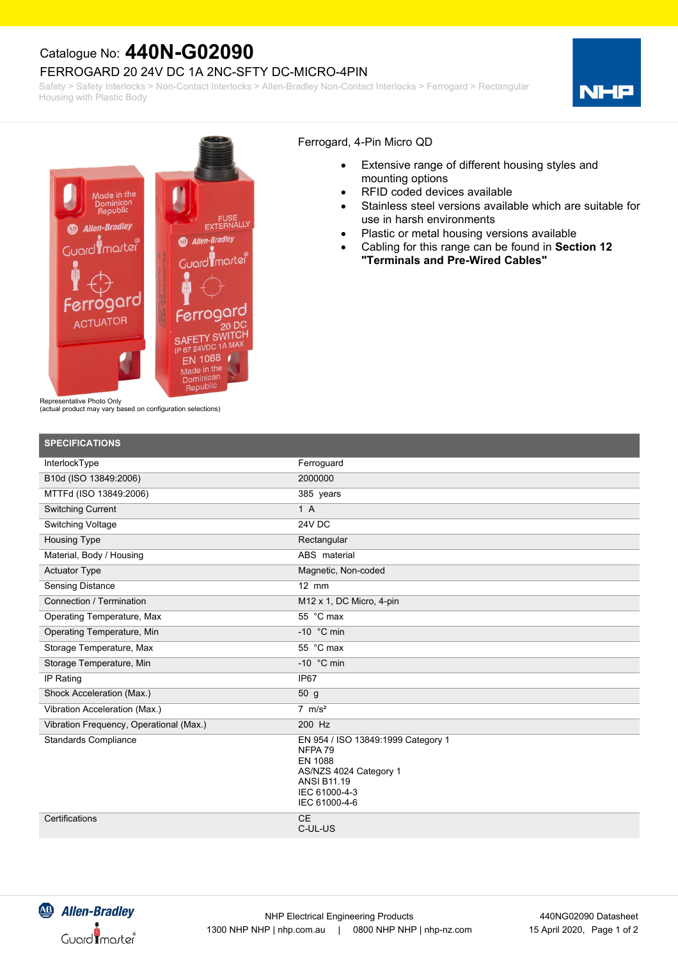## Catalogue No: **440N-G02090**

### FERROGARD 20 24V DC 1A 2NC-SFTY DC-MICRO-4PIN

Safety > Safety Interlocks > Non-Contact Interlocks > Allen-Bradley Non-Contact Interlocks > Ferrogard > Rectangular Housing with Plastic Body





#### Ferrogard, 4-Pin Micro QD

- · Extensive range of different housing styles and mounting options
- RFID coded devices available
- · Stainless steel versions available which are suitable for use in harsh environments
- Plastic or metal housing versions available
- · Cabling for this range can be found in **Section 12 "Terminals and Pre-Wired Cables"**

Representative Photo Only

(actual product may vary based on configuration selections)

| <b>SPECIFICATIONS</b>                   |                                                                                                                                            |
|-----------------------------------------|--------------------------------------------------------------------------------------------------------------------------------------------|
| InterlockType                           | Ferroguard                                                                                                                                 |
| B10d (ISO 13849:2006)                   | 2000000                                                                                                                                    |
| MTTFd (ISO 13849:2006)                  | 385 years                                                                                                                                  |
| <b>Switching Current</b>                | 1A                                                                                                                                         |
| Switching Voltage                       | 24V DC                                                                                                                                     |
| <b>Housing Type</b>                     | Rectangular                                                                                                                                |
| Material, Body / Housing                | ABS material                                                                                                                               |
| <b>Actuator Type</b>                    | Magnetic, Non-coded                                                                                                                        |
| <b>Sensing Distance</b>                 | $12$ mm                                                                                                                                    |
| Connection / Termination                | M12 x 1, DC Micro, 4-pin                                                                                                                   |
| Operating Temperature, Max              | 55 °C max                                                                                                                                  |
| Operating Temperature, Min              | -10 $\degree$ C min                                                                                                                        |
| Storage Temperature, Max                | 55 °C max                                                                                                                                  |
| Storage Temperature, Min                | $-10$ °C min                                                                                                                               |
| IP Rating                               | IP <sub>67</sub>                                                                                                                           |
| Shock Acceleration (Max.)               | 50 <sub>g</sub>                                                                                                                            |
| Vibration Acceleration (Max.)           | $7 \text{ m/s}^2$                                                                                                                          |
| Vibration Frequency, Operational (Max.) | 200 Hz                                                                                                                                     |
| <b>Standards Compliance</b>             | EN 954 / ISO 13849:1999 Category 1<br>NFPA 79<br>EN 1088<br>AS/NZS 4024 Category 1<br><b>ANSI B11.19</b><br>IEC 61000-4-3<br>IEC 61000-4-6 |
| Certifications                          | <b>CE</b><br>C-UL-US                                                                                                                       |